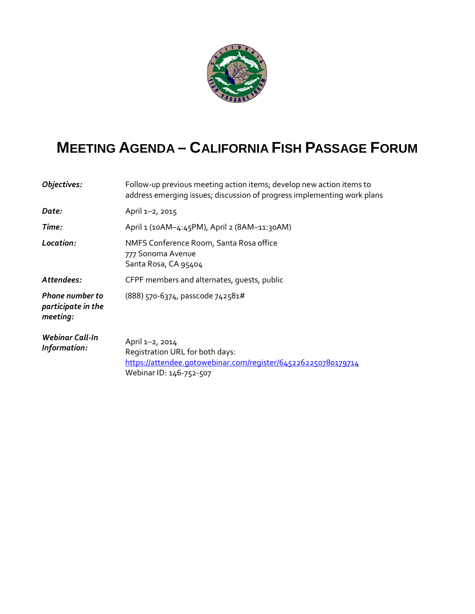

## **MEETING AGENDA – CALIFORNIA FISH PASSAGE FORUM**

| Objectives:                                              | Follow-up previous meeting action items; develop new action items to<br>address emerging issues; discussion of progress implementing work plans |
|----------------------------------------------------------|-------------------------------------------------------------------------------------------------------------------------------------------------|
| Date:                                                    | April 1-2, 2015                                                                                                                                 |
| Time:                                                    | April 1 (10AM-4:45PM), April 2 (8AM-11:30AM)                                                                                                    |
| Location:                                                | NMFS Conference Room, Santa Rosa office<br>777 Sonoma Avenue<br>Santa Rosa, CA 95404                                                            |
| Attendees:                                               | CFPF members and alternates, quests, public                                                                                                     |
| <b>Phone number to</b><br>participate in the<br>meeting: | $(888)$ 570-6374, passcode 742581#                                                                                                              |
| <b>Webinar Call-In</b><br>Information:                   | April 1-2, 2014<br>Registration URL for both days:<br>https://attendee.gotowebinar.com/register/6452262250780179714<br>Webinar ID: 146-752-507  |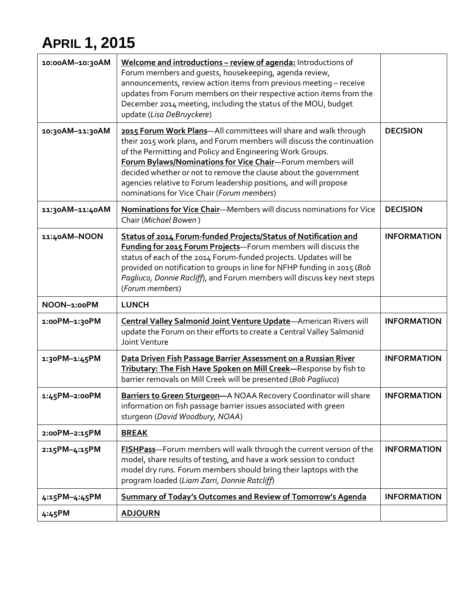## **APRIL 1, 2015**

| 10:00AM-10:30AM | Welcome and introductions - review of agenda: Introductions of<br>Forum members and guests, housekeeping, agenda review,<br>announcements, review action items from previous meeting - receive<br>updates from Forum members on their respective action items from the<br>December 2014 meeting, including the status of the MOU, budget<br>update (Lisa DeBruyckere)                                                                                        |                    |
|-----------------|--------------------------------------------------------------------------------------------------------------------------------------------------------------------------------------------------------------------------------------------------------------------------------------------------------------------------------------------------------------------------------------------------------------------------------------------------------------|--------------------|
| 10:30AM-11:30AM | 2015 Forum Work Plans-All committees will share and walk through<br>their 2015 work plans, and Forum members will discuss the continuation<br>of the Permitting and Policy and Engineering Work Groups.<br>Forum Bylaws/Nominations for Vice Chair-Forum members will<br>decided whether or not to remove the clause about the government<br>agencies relative to Forum leadership positions, and will propose<br>nominations for Vice Chair (Forum members) | <b>DECISION</b>    |
| 11:30AM-11:40AM | Nominations for Vice Chair-Members will discuss nominations for Vice<br>Chair (Michael Bowen)                                                                                                                                                                                                                                                                                                                                                                | <b>DECISION</b>    |
| 11:40AM-NOON    | Status of 2014 Forum-funded Projects/Status of Notification and<br>Funding for 2015 Forum Projects-Forum members will discuss the<br>status of each of the 2014 Forum-funded projects. Updates will be<br>provided on notification to groups in line for NFHP funding in 2015 (Bob<br>Pagliuco, Donnie Racliff), and Forum members will discuss key next steps<br>(Forum members)                                                                            | <b>INFORMATION</b> |
| NOON-1:00PM     | <b>LUNCH</b>                                                                                                                                                                                                                                                                                                                                                                                                                                                 |                    |
| 1:00PM-1:30PM   | Central Valley Salmonid Joint Venture Update-American Rivers will<br>update the Forum on their efforts to create a Central Valley Salmonid<br>Joint Venture                                                                                                                                                                                                                                                                                                  | <b>INFORMATION</b> |
| 1:30PM-1:45PM   | Data Driven Fish Passage Barrier Assessment on a Russian River<br>Tributary: The Fish Have Spoken on Mill Creek-Response by fish to<br>barrier removals on Mill Creek will be presented (Bob Pagliuco)                                                                                                                                                                                                                                                       | <b>INFORMATION</b> |
| 1:45PM-2:00PM   | Barriers to Green Sturgeon-A NOAA Recovery Coordinator will share<br>information on fish passage barrier issues associated with green<br>sturgeon (David Woodbury, NOAA)                                                                                                                                                                                                                                                                                     | <b>INFORMATION</b> |
| 2:00PM-2:15PM   | <b>BREAK</b>                                                                                                                                                                                                                                                                                                                                                                                                                                                 |                    |
| 2:15PM-4:15PM   | FISHPass-Forum members will walk through the current version of the<br>model, share results of testing, and have a work session to conduct<br>model dry runs. Forum members should bring their laptops with the<br>program loaded (Liam Zarri, Donnie Ratcliff)                                                                                                                                                                                              | <b>INFORMATION</b> |
| 4:15PM-4:45PM   | <b>Summary of Today's Outcomes and Review of Tomorrow's Agenda</b>                                                                                                                                                                                                                                                                                                                                                                                           | <b>INFORMATION</b> |
| 4:45PM          | <b>ADJOURN</b>                                                                                                                                                                                                                                                                                                                                                                                                                                               |                    |